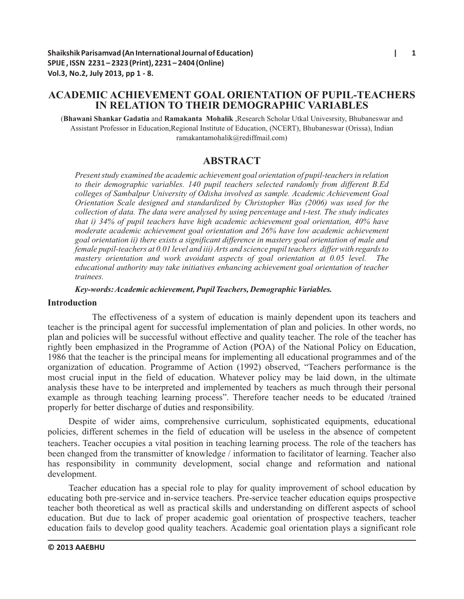# **ACADEMIC ACHIEVEMENT GOAL ORIENTATION OF PUPIL-TEACHERS IN RELATION TO THEIR DEMOGRAPHIC VARIABLES**

(**Bhawani Shankar Gadatia** and **Ramakanta Mohalik** ,Research Scholar Utkal Univesrsity, Bhubaneswar and Assistant Professor in Education,Regional Institute of Education, (NCERT), Bhubaneswar (Orissa), Indian ramakantamohalik@rediffmail.com)

# **ABSTRACT**

*Present study examined the academic achievement goal orientation of pupil-teachers in relation to their demographic variables. 140 pupil teachers selected randomly from different B.Ed colleges of Sambalpur University of Odisha involved as sample. Academic Achievement Goal Orientation Scale designed and standardized by Christopher Was (2006) was used for the collection of data. The data were analysed by using percentage and t-test. The study indicates that i) 34% of pupil teachers have high academic achievement goal orientation, 40% have moderate academic achievement goal orientation and 26% have low academic achievement goal orientation ii) there exists a significant difference in mastery goal orientation of male and female pupil-teachers at 0.01 level and iii) Arts and science pupil teachers differ with regards to mastery orientation and work avoidant aspects of goal orientation at 0.05 level. The educational authority may take initiatives enhancing achievement goal orientation of teacher trainees.*

#### *Key-words: Academic achievement, Pupil Teachers, Demographic Variables.*

### **Introduction**

The effectiveness of a system of education is mainly dependent upon its teachers and teacher is the principal agent for successful implementation of plan and policies. In other words, no plan and policies will be successful without effective and quality teacher. The role of the teacher has rightly been emphasized in the Programme of Action (POA) of the National Policy on Education, 1986 that the teacher is the principal means for implementing all educational programmes and of the organization of education. Programme of Action (1992) observed, "Teachers performance is the most crucial input in the field of education. Whatever policy may be laid down, in the ultimate analysis these have to be interpreted and implemented by teachers as much through their personal example as through teaching learning process". Therefore teacher needs to be educated /trained properly for better discharge of duties and responsibility.

Despite of wider aims, comprehensive curriculum, sophisticated equipments, educational policies, different schemes in the field of education will be useless in the absence of competent teachers.Teacher occupies a vital position in teaching learning process. The role of the teachers has been changed from the transmitter of knowledge / information to facilitator of learning. Teacher also has responsibility in community development, social change and reformation and national development.

Teacher education has a special role to play for quality improvement of school education by educating both pre-service and in-service teachers. Pre-service teacher education equips prospective teacher both theoretical as well as practical skills and understanding on different aspects of school education. But due to lack of proper academic goal orientation of prospective teachers, teacher education fails to develop good quality teachers. Academic goal orientation plays a significant role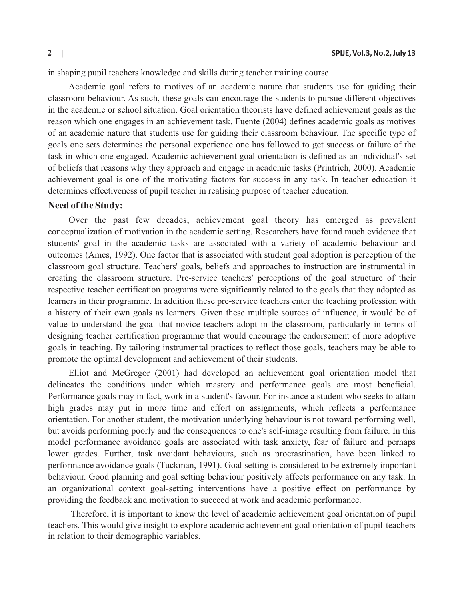in shaping pupil teachers knowledge and skills during teacher training course.

Academic goal refers to motives of an academic nature that students use for guiding their classroom behaviour. As such, these goals can encourage the students to pursue different objectives in the academic or school situation. Goal orientation theorists have defined achievement goals as the reason which one engages in an achievement task. Fuente (2004) defines academic goals as motives of an academic nature that students use for guiding their classroom behaviour. The specific type of goals one sets determines the personal experience one has followed to get success or failure of the task in which one engaged. Academic achievement goal orientation is defined as an individual's set of beliefs that reasons why they approach and engage in academic tasks (Printrich, 2000). Academic achievement goal is one of the motivating factors for success in any task. In teacher education it determines effectiveness of pupil teacher in realising purpose of teacher education.

#### **Need of the Study:**

Over the past few decades, achievement goal theory has emerged as prevalent conceptualization of motivation in the academic setting. Researchers have found much evidence that students' goal in the academic tasks are associated with a variety of academic behaviour and outcomes (Ames, 1992). One factor that is associated with student goal adoption is perception of the classroom goal structure. Teachers' goals, beliefs and approaches to instruction are instrumental in creating the classroom structure. Pre-service teachers' perceptions of the goal structure of their respective teacher certification programs were significantly related to the goals that they adopted as learners in their programme. In addition these pre-service teachers enter the teaching profession with a history of their own goals as learners. Given these multiple sources of influence, it would be of value to understand the goal that novice teachers adopt in the classroom, particularly in terms of designing teacher certification programme that would encourage the endorsement of more adoptive goals in teaching. By tailoring instrumental practices to reflect those goals, teachers may be able to promote the optimal development and achievement of their students.

Elliot and McGregor (2001) had developed an achievement goal orientation model that delineates the conditions under which mastery and performance goals are most beneficial. Performance goals may in fact, work in a student's favour. For instance a student who seeks to attain high grades may put in more time and effort on assignments, which reflects a performance orientation. For another student, the motivation underlying behaviour is not toward performing well, but avoids performing poorly and the consequences to one's self-image resulting from failure. In this model performance avoidance goals are associated with task anxiety, fear of failure and perhaps lower grades. Further, task avoidant behaviours, such as procrastination, have been linked to performance avoidance goals (Tuckman, 1991). Goal setting is considered to be extremely important behaviour. Good planning and goal setting behaviour positively affects performance on any task. In an organizational context goal-setting interventions have a positive effect on performance by providing the feedback and motivation to succeed at work and academic performance.

 Therefore, it is important to know the level of academic achievement goal orientation of pupil teachers. This would give insight to explore academic achievement goal orientation of pupil-teachers in relation to their demographic variables.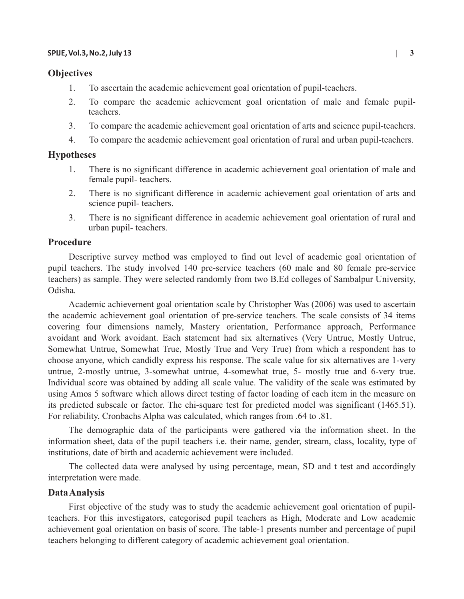### **Objectives**

- 1. To ascertain the academic achievement goal orientation of pupil-teachers.
- 2. To compare the academic achievement goal orientation of male and female pupilteachers.
- 3. To compare the academic achievement goal orientation of arts and science pupil-teachers.
- 4. To compare the academic achievement goal orientation of rural and urban pupil-teachers.

# **Hypotheses**

- 1. There is no significant difference in academic achievement goal orientation of male and female pupil- teachers.
- 2. There is no significant difference in academic achievement goal orientation of arts and science pupil- teachers.
- 3. There is no significant difference in academic achievement goal orientation of rural and urban pupil- teachers.

# **Procedure**

Descriptive survey method was employed to find out level of academic goal orientation of pupil teachers. The study involved 140 pre-service teachers (60 male and 80 female pre-service teachers) as sample. They were selected randomly from two B.Ed colleges of Sambalpur University, Odisha.

Academic achievement goal orientation scale by Christopher Was (2006) was used to ascertain the academic achievement goal orientation of pre-service teachers. The scale consists of 34 items covering four dimensions namely, Mastery orientation, Performance approach, Performance avoidant and Work avoidant. Each statement had six alternatives (Very Untrue, Mostly Untrue, Somewhat Untrue, Somewhat True, Mostly True and Very True) from which a respondent has to choose anyone, which candidly express his response. The scale value for six alternatives are 1-very untrue, 2-mostly untrue, 3-somewhat untrue, 4-somewhat true, 5- mostly true and 6-very true. Individual score was obtained by adding all scale value. The validity of the scale was estimated by using Amos 5 software which allows direct testing of factor loading of each item in the measure on its predicted subscale or factor. The chi-square test for predicted model was significant (1465.51). For reliability, Cronbachs Alpha was calculated, which ranges from .64 to .81.

The demographic data of the participants were gathered via the information sheet. In the information sheet, data of the pupil teachers i.e. their name, gender, stream, class, locality, type of institutions, date of birth and academic achievement were included.

The collected data were analysed by using percentage, mean, SD and t test and accordingly interpretation were made.

#### **Data Analysis**

First objective of the study was to study the academic achievement goal orientation of pupilteachers. For this investigators, categorised pupil teachers as High, Moderate and Low academic achievement goal orientation on basis of score. The table-1 presents number and percentage of pupil teachers belonging to different category of academic achievement goal orientation.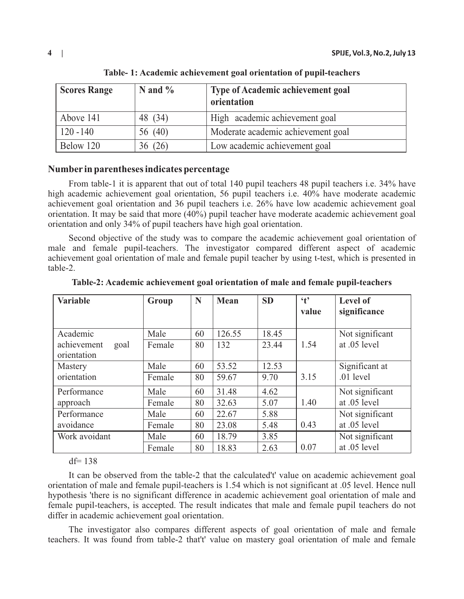| <b>Scores Range</b> | N and $\%$ | Type of Academic achievement goal<br>orientation |
|---------------------|------------|--------------------------------------------------|
| Above 141           | 48 (34)    | High academic achievement goal                   |
| $120 - 140$         | 56 (40)    | Moderate academic achievement goal               |
| Below 120           | 36 (26)    | Low academic achievement goal                    |

**Table- 1: Academic achievement goal orientation of pupil-teachers**

# **Number in parentheses indicates percentage**

From table-1 it is apparent that out of total 140 pupil teachers 48 pupil teachers i.e. 34% have high academic achievement goal orientation, 56 pupil teachers i.e. 40% have moderate academic achievement goal orientation and 36 pupil teachers i.e. 26% have low academic achievement goal orientation. It may be said that more (40%) pupil teacher have moderate academic achievement goal orientation and only 34% of pupil teachers have high goal orientation.

Second objective of the study was to compare the academic achievement goal orientation of male and female pupil-teachers. The investigator compared different aspect of academic achievement goal orientation of male and female pupil teacher by using t-test, which is presented in table-2.

| <b>Variable</b>                    | Group  | N  | <b>Mean</b> | <b>SD</b> | $\mathbf{t}$<br>value | Level of<br>significance |
|------------------------------------|--------|----|-------------|-----------|-----------------------|--------------------------|
| Academic                           | Male   | 60 | 126.55      | 18.45     |                       | Not significant          |
| achievement<br>goal<br>orientation | Female | 80 | 132         | 23.44     | 1.54                  | at .05 level             |
| Mastery                            | Male   | 60 | 53.52       | 12.53     |                       | Significant at           |
| orientation                        | Female | 80 | 59.67       | 9.70      | 3.15                  | $.01$ level              |
| Performance                        | Male   | 60 | 31.48       | 4.62      |                       | Not significant          |
| approach                           | Female | 80 | 32.63       | 5.07      | 1.40                  | at .05 level             |
| Performance                        | Male   | 60 | 22.67       | 5.88      |                       | Not significant          |
| avoidance                          | Female | 80 | 23.08       | 5.48      | 0.43                  | at .05 level             |
| Work avoidant                      | Male   | 60 | 18.79       | 3.85      |                       | Not significant          |
|                                    | Female | 80 | 18.83       | 2.63      | 0.07                  | at .05 level             |

**Table-2: Academic achievement goal orientation of male and female pupil-teachers**

 $df= 138$ 

It can be observed from the table-2 that the calculated't' value on academic achievement goal orientation of male and female pupil-teachers is 1.54 which is not significant at .05 level. Hence null hypothesis 'there is no significant difference in academic achievement goal orientation of male and female pupil-teachers, is accepted. The result indicates that male and female pupil teachers do not differ in academic achievement goal orientation.

The investigator also compares different aspects of goal orientation of male and female teachers. It was found from table-2 that't' value on mastery goal orientation of male and female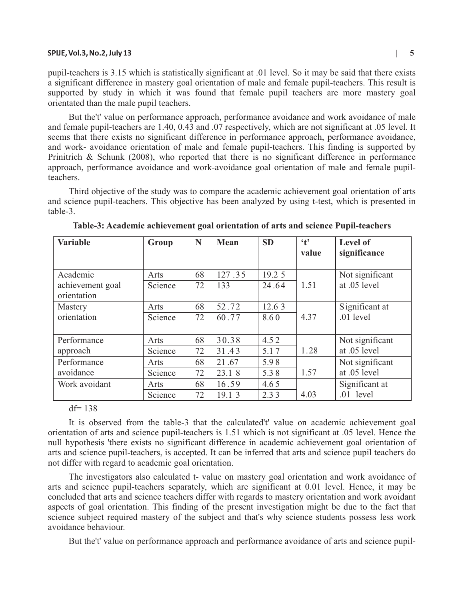pupil-teachers is 3.15 which is statistically significant at .01 level. So it may be said that there exists a significant difference in mastery goal orientation of male and female pupil-teachers. This result is supported by study in which it was found that female pupil teachers are more mastery goal orientated than the male pupil teachers.

But the't' value on performance approach, performance avoidance and work avoidance of male and female pupil-teachers are 1.40, 0.43 and .07 respectively, which are not significant at .05 level. It seems that there exists no significant difference in performance approach, performance avoidance, and work- avoidance orientation of male and female pupil-teachers. This finding is supported by Prinitrich & Schunk (2008), who reported that there is no significant difference in performance approach, performance avoidance and work-avoidance goal orientation of male and female pupilteachers.

Third objective of the study was to compare the academic achievement goal orientation of arts and science pupil-teachers. This objective has been analyzed by using t-test, which is presented in table-3.

| <b>Variable</b>                 | Group   | N  | Mean   | <b>SD</b> | $\cdot$ <sub>t</sub><br>value | <b>Level of</b><br>significance |
|---------------------------------|---------|----|--------|-----------|-------------------------------|---------------------------------|
| Academic                        | Arts    | 68 | 127.35 | 19.2 5    |                               | Not significant                 |
| achievement goal<br>orientation | Science | 72 | 133    | 24.64     | 1.51                          | at .05 level                    |
| Mastery                         | Arts    | 68 | 52.72  | 12.6 3    |                               | Significant at                  |
| orientation                     | Science | 72 | 60.77  | 8.60      | 4.37                          | $.01$ level                     |
| Performance                     | Arts    | 68 | 30.38  | 4.52      |                               | Not significant                 |
| approach                        | Science | 72 | 31.43  | 5.17      | 1.28                          | at .05 level                    |
| Performance                     | Arts    | 68 | 21.67  | 5.98      |                               | Not significant                 |
| avoidance                       | Science | 72 | 23.1 8 | 5.38      | 1.57                          | at .05 level                    |
| Work avoidant                   | Arts    | 68 | 16.59  | 4.65      |                               | Significant at                  |
|                                 | Science | 72 | 19.1 3 | 2.33      | 4.03                          | $.01$ level                     |

**Table-3: Academic achievement goal orientation of arts and science Pupil-teachers**

 $df= 138$ 

It is observed from the table-3 that the calculated't' value on academic achievement goal orientation of arts and science pupil-teachers is 1.51 which is not significant at .05 level. Hence the null hypothesis 'there exists no significant difference in academic achievement goal orientation of arts and science pupil-teachers, is accepted. It can be inferred that arts and science pupil teachers do not differ with regard to academic goal orientation.

The investigators also calculated t- value on mastery goal orientation and work avoidance of arts and science pupil-teachers separately, which are significant at 0.01 level. Hence, it may be concluded that arts and science teachers differ with regards to mastery orientation and work avoidant aspects of goal orientation. This finding of the present investigation might be due to the fact that science subject required mastery of the subject and that's why science students possess less work avoidance behaviour.

But the't' value on performance approach and performance avoidance of arts and science pupil-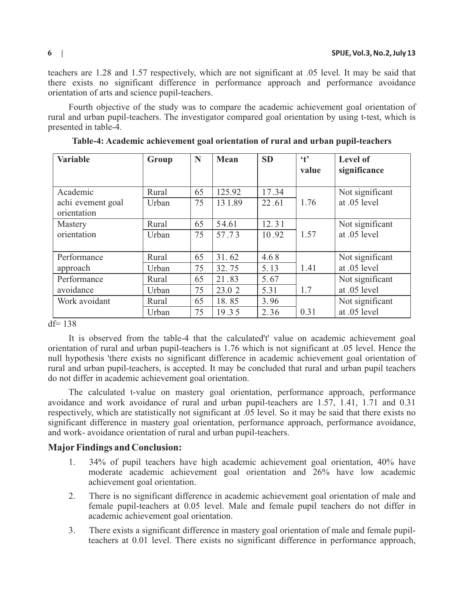teachers are 1.28 and 1.57 respectively, which are not significant at .05 level. It may be said that there exists no significant difference in performance approach and performance avoidance orientation of arts and science pupil-teachers.

Fourth objective of the study was to compare the academic achievement goal orientation of rural and urban pupil-teachers. The investigator compared goal orientation by using t-test, which is presented in table-4.

| <b>Variable</b>   | Group | N  | <b>Mean</b> | <b>SD</b> | $\ddot{\mathbf{t}}$<br>value | <b>Level of</b><br>significance |
|-------------------|-------|----|-------------|-----------|------------------------------|---------------------------------|
| Academic          | Rural | 65 | 125.92      | 17.34     |                              | Not significant                 |
| achi evement goal | Urban | 75 | 131.89      | 22.61     | 1.76                         | at .05 level                    |
| orientation       |       |    |             |           |                              |                                 |
| Mastery           | Rural | 65 | 54.61       | 12.31     |                              | Not significant                 |
| orientation       | Urban | 75 | 57.73       | 10.92     | 1.57                         | at .05 level                    |
| Performance       | Rural | 65 | 31.62       | 4.68      |                              | Not significant                 |
| approach          | Urban | 75 | 32.75       | 5.13      | 1.41                         | at .05 level                    |
| Performance       | Rural | 65 | 21.83       | 5.67      |                              | Not significant                 |
| avoidance         | Urban | 75 | 23.0 2      | 5.31      | 1.7                          | at .05 level                    |
| Work avoidant     | Rural | 65 | 18.85       | 3.96      |                              | Not significant                 |
|                   | Urban | 75 | 19.35       | 2.36      | 0.31                         | at .05 level                    |

**Table-4: Academic achievement goal orientation of rural and urban pupil-teachers**

 $df= 138$ 

It is observed from the table-4 that the calculated't' value on academic achievement goal orientation of rural and urban pupil-teachers is 1.76 which is not significant at .05 level. Hence the null hypothesis 'there exists no significant difference in academic achievement goal orientation of rural and urban pupil-teachers, is accepted. It may be concluded that rural and urban pupil teachers do not differ in academic achievement goal orientation.

The calculated t-value on mastery goal orientation, performance approach, performance avoidance and work avoidance of rural and urban pupil-teachers are 1.57, 1.41, 1.71 and 0.31 respectively, which are statistically not significant at .05 level. So it may be said that there exists no significant difference in mastery goal orientation, performance approach, performance avoidance, and work- avoidance orientation of rural and urban pupil-teachers.

# **MajorFindings and Conclusion:**

- 1. 34% of pupil teachers have high academic achievement goal orientation, 40% have moderate academic achievement goal orientation and 26% have low academic achievement goal orientation.
- 2. There is no significant difference in academic achievement goal orientation of male and female pupil-teachers at 0.05 level. Male and female pupil teachers do not differ in academic achievement goal orientation.
- 3. There exists a significant difference in mastery goal orientation of male and female pupilteachers at 0.01 level. There exists no significant difference in performance approach,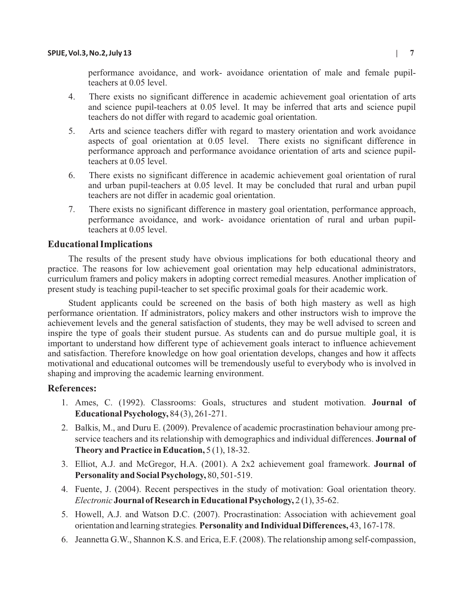performance avoidance, and work- avoidance orientation of male and female pupilteachers at 0.05 level.

- 4. There exists no significant difference in academic achievement goal orientation of arts and science pupil-teachers at 0.05 level. It may be inferred that arts and science pupil teachers do not differ with regard to academic goal orientation.
- 5. Arts and science teachers differ with regard to mastery orientation and work avoidance aspects of goal orientation at 0.05 level. There exists no significant difference in performance approach and performance avoidance orientation of arts and science pupilteachers at 0.05 level.
- 6. There exists no significant difference in academic achievement goal orientation of rural and urban pupil-teachers at 0.05 level. It may be concluded that rural and urban pupil teachers are not differ in academic goal orientation.
- 7. There exists no significant difference in mastery goal orientation, performance approach, performance avoidance, and work- avoidance orientation of rural and urban pupilteachers at 0.05 level.

# **Educational Implications**

The results of the present study have obvious implications for both educational theory and practice. The reasons for low achievement goal orientation may help educational administrators, curriculum framers and policy makers in adopting correct remedial measures. Another implication of present study is teaching pupil-teacher to set specific proximal goals for their academic work.

Student applicants could be screened on the basis of both high mastery as well as high performance orientation. If administrators, policy makers and other instructors wish to improve the achievement levels and the general satisfaction of students, they may be well advised to screen and inspire the type of goals their student pursue. As students can and do pursue multiple goal, it is important to understand how different type of achievement goals interact to influence achievement and satisfaction. Therefore knowledge on how goal orientation develops, changes and how it affects motivational and educational outcomes will be tremendously useful to everybody who is involved in shaping and improving the academic learning environment.

# **References:**

- 1. Ames, C. (1992). Classrooms: Goals, structures and student motivation. **Journal of Educational Psychology,** 84 (3), 261-271.
- 2. Balkis, M., and Duru E. (2009). Prevalence of academic procrastination behaviour among preservice teachers and its relationship with demographics and individual differences. **Journal of Theory and Practice in Education,** 5 (1), 18-32.
- 3. Elliot, A.J. and McGregor, H.A. (2001). A 2x2 achievement goal framework. **Journal of Personality and Social Psychology,** 80, 501-519.
- 4. Fuente, J. (2004). Recent perspectives in the study of motivation: Goal orientation theory. *Electronic* **Journal of Research in Educational Psychology,** 2 (1), 35-62.
- 5. Howell, A.J. and Watson D.C. (2007). Procrastination: Association with achievement goal orientation and learning strategies*.* **Personality and Individual Differences,** 43, 167-178.
- 6. Jeannetta G.W., Shannon K.S. and Erica, E.F. (2008). The relationship among self-compassion,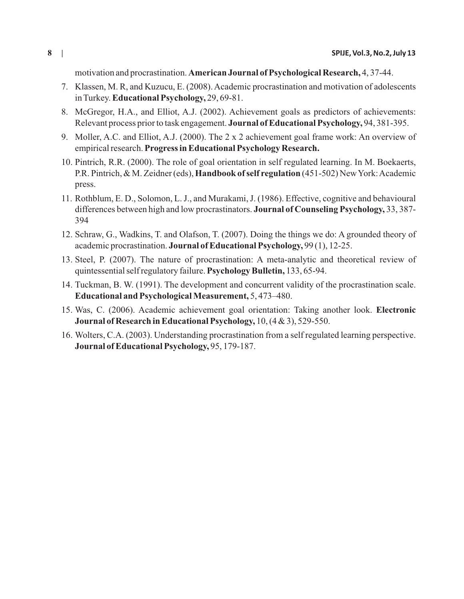motivation and procrastination. **American Journal of Psychological Research,** 4, 37-44.

- 7. Klassen, M. R, and Kuzucu, E. (2008). Academic procrastination and motivation of adolescents in Turkey. **Educational Psychology,** 29, 69-81.
- 8. McGregor, H.A., and Elliot, A.J. (2002). Achievement goals as predictors of achievements: Relevant process prior to task engagement. **Journal of Educational Psychology,** 94, 381-395.
- 9. Moller, A.C. and Elliot, A.J. (2000). The 2 x 2 achievement goal frame work: An overview of empirical research. **Progress in Educational Psychology Research.**
- 10. Pintrich, R.R. (2000). The role of goal orientation in self regulated learning. In M. Boekaerts, P.R. Pintrich, & M. Zeidner (eds), **Handbook of self regulation** (451-502) New York: Academic press.
- 11. Rothblum, E. D., Solomon, L. J., and Murakami, J. (1986). Effective, cognitive and behavioural differences between high and low procrastinators. **Journal of Counseling Psychology,** 33, 387- 394
- 12. Schraw, G., Wadkins, T. and Olafson, T. (2007). Doing the things we do: A grounded theory of academic procrastination. **Journal of Educational Psychology,** 99 (1), 12-25.
- 13. Steel, P. (2007). The nature of procrastination: A meta-analytic and theoretical review of quintessential self regulatory failure. **Psychology Bulletin,** 133, 65-94.
- 14. Tuckman, B. W. (1991). The development and concurrent validity of the procrastination scale. **Educational and Psychological Measurement,** 5, 473–480.
- 15. Was, C. (2006). Academic achievement goal orientation: Taking another look. **Electronic Journal of Research in Educational Psychology,** 10, (4 & 3), 529-550.
- 16. Wolters, C.A. (2003). Understanding procrastination from a self regulated learning perspective. **Journal of Educational Psychology,** 95, 179-187.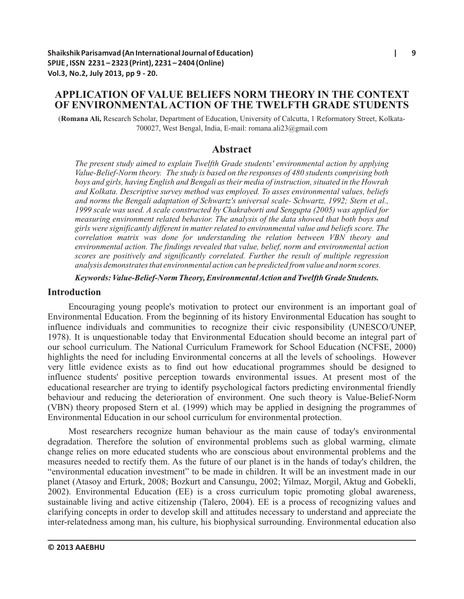# **APPLICATION OF VALUE BELIEFS NORM THEORY IN THE CONTEXT OF ENVIRONMENTALACTION OF THE TWELFTH GRADE STUDENTS**

(**Romana Ali,** Research Scholar, Department of Education, University of Calcutta, 1 Reformatory Street, Kolkata-700027, West Bengal, India, E-mail: romana.ali23@gmail.com

# **Abstract**

*The present study aimed to explain Twelfth Grade students' environmental action by applying Value-Belief-Norm theory. The study is based on the responses of 480 students comprising both boys and girls, having English and Bengali as their media of instruction, situated in the Howrah and Kolkata. Descriptive survey method was employed. To asses environmental values, beliefs and norms the Bengali adaptation of Schwartz's universal scale- Schwartz, 1992; Stern et al., 1999 scale was used. A scale constructed by Chakraborti and Sengupta (2005) was applied for measuring environment related behavior. The analysis of the data showed that both boys and girls were significantly different in matter related to environmental value and beliefs score. The correlation matrix was done for understanding the relation between VBN theory and environmental action. The findings revealed that value, belief, norm and environmental action scores are positively and significantly correlated. Further the result of multiple regression analysis demonstrates that environmental action can be predicted from value and norm scores.*

*Keywords: Value-Belief-Norm Theory, Environmental Action and Twelfth Grade Students.*

### **Introduction**

Encouraging young people's motivation to protect our environment is an important goal of Environmental Education. From the beginning of its history Environmental Education has sought to influence individuals and communities to recognize their civic responsibility (UNESCO/UNEP, 1978). It is unquestionable today that Environmental Education should become an integral part of our school curriculum. The National Curriculum Framework for School Education (NCFSE, 2000) highlights the need for including Environmental concerns at all the levels of schoolings. However very little evidence exists as to find out how educational programmes should be designed to influence students' positive perception towards environmental issues. At present most of the educational researcher are trying to identify psychological factors predicting environmental friendly behaviour and reducing the deterioration of environment. One such theory is Value-Belief-Norm (VBN) theory proposed Stern et al. (1999) which may be applied in designing the programmes of Environmental Education in our school curriculum for environmental protection.

Most researchers recognize human behaviour as the main cause of today's environmental degradation. Therefore the solution of environmental problems such as global warming, climate change relies on more educated students who are conscious about environmental problems and the measures needed to rectify them. As the future of our planet is in the hands of today's children, the "environmental education investment" to be made in children. It will be an investment made in our planet (Atasoy and Erturk, 2008; Bozkurt and Cansungu, 2002; Yilmaz, Morgil, Aktug and Gobekli, 2002). Environmental Education (EE) is a cross curriculum topic promoting global awareness, sustainable living and active citizenship (Talero, 2004). EE is a process of recognizing values and clarifying concepts in order to develop skill and attitudes necessary to understand and appreciate the inter-relatedness among man, his culture, his biophysical surrounding. Environmental education also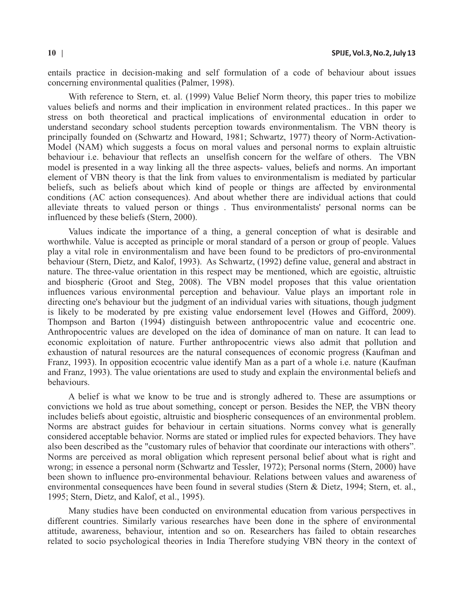entails practice in decision-making and self formulation of a code of behaviour about issues concerning environmental qualities (Palmer, 1998).

With reference to Stern, et. al. (1999) Value Belief Norm theory, this paper tries to mobilize values beliefs and norms and their implication in environment related practices.. In this paper we stress on both theoretical and practical implications of environmental education in order to understand secondary school students perception towards environmentalism. The VBN theory is principally founded on (Schwartz and Howard, 1981; Schwartz, 1977) theory of Norm-Activation-Model (NAM) which suggests a focus on moral values and personal norms to explain altruistic behaviour i.e. behaviour that reflects an unselfish concern for the welfare of others. The VBN model is presented in a way linking all the three aspects- values, beliefs and norms. An important element of VBN theory is that the link from values to environmentalism is mediated by particular beliefs, such as beliefs about which kind of people or things are affected by environmental conditions (AC action consequences). And about whether there are individual actions that could alleviate threats to valued person or things . Thus environmentalists' personal norms can be influenced by these beliefs (Stern, 2000).

Values indicate the importance of a thing, a general conception of what is desirable and worthwhile. Value is accepted as principle or moral standard of a person or group of people. Values play a vital role in environmentalism and have been found to be predictors of pro-environmental behaviour (Stern, Dietz, and Kalof, 1993). As Schwartz, (1992) define value, general and abstract in nature. The three-value orientation in this respect may be mentioned, which are egoistic, altruistic and biospheric (Groot and Steg, 2008). The VBN model proposes that this value orientation influences various environmental perception and behaviour. Value plays an important role in directing one's behaviour but the judgment of an individual varies with situations, though judgment is likely to be moderated by pre existing value endorsement level (Howes and Gifford, 2009). Thompson and Barton (1994) distinguish between anthropocentric value and ecocentric one. Anthropocentric values are developed on the idea of dominance of man on nature. It can lead to economic exploitation of nature. Further anthropocentric views also admit that pollution and exhaustion of natural resources are the natural consequences of economic progress (Kaufman and Franz, 1993). In opposition ecocentric value identify Man as a part of a whole i.e. nature (Kaufman and Franz, 1993). The value orientations are used to study and explain the environmental beliefs and behaviours.

A belief is what we know to be true and is strongly adhered to. These are assumptions or convictions we hold as true about something, concept or person. Besides the NEP, the VBN theory includes beliefs about egoistic, altruistic and biospheric consequences of an environmental problem. Norms are abstract guides for behaviour in certain situations. Norms convey what is generally considered acceptable behavior. Norms are stated or implied rules for expected behaviors. They have also been described as the "customary rules of behavior that coordinate our interactions with others". Norms are perceived as moral obligation which represent personal belief about what is right and wrong; in essence a personal norm (Schwartz and Tessler, 1972); Personal norms (Stern, 2000) have been shown to influence pro-environmental behaviour. Relations between values and awareness of environmental consequences have been found in several studies (Stern & Dietz, 1994; Stern, et. al., 1995; Stern, Dietz, and Kalof, et al., 1995).

Many studies have been conducted on environmental education from various perspectives in different countries. Similarly various researches have been done in the sphere of environmental attitude, awareness, behaviour, intention and so on. Researchers has failed to obtain researches related to socio psychological theories in India Therefore studying VBN theory in the context of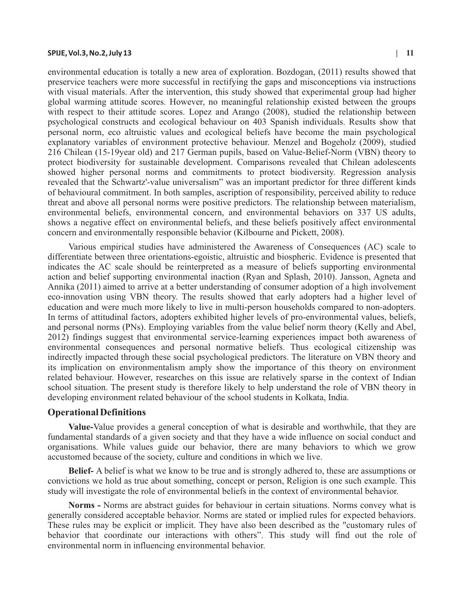environmental education is totally a new area of exploration. Bozdogan, (2011) results showed that preservice teachers were more successful in rectifying the gaps and misconceptions via instructions with visual materials. After the intervention, this study showed that experimental group had higher global warming attitude scores. However, no meaningful relationship existed between the groups with respect to their attitude scores. Lopez and Arango (2008), studied the relationship between psychological constructs and ecological behaviour on 403 Spanish individuals. Results show that personal norm, eco altruistic values and ecological beliefs have become the main psychological explanatory variables of environment protective behaviour. Menzel and Bogeholz (2009), studied 216 Chilean (15-19year old) and 217 German pupils, based on Value-Belief-Norm (VBN) theory to protect biodiversity for sustainable development. Comparisons revealed that Chilean adolescents showed higher personal norms and commitments to protect biodiversity. Regression analysis revealed that the Schwartz'-value universalism" was an important predictor for three different kinds of behavioural commitment. In both samples, ascription of responsibility, perceived ability to reduce threat and above all personal norms were positive predictors. The relationship between materialism, environmental beliefs, environmental concern, and environmental behaviors on 337 US adults, shows a negative effect on environmental beliefs, and these beliefs positively affect environmental concern and environmentally responsible behavior (Kilbourne and Pickett, 2008).

Various empirical studies have administered the Awareness of Consequences (AC) scale to differentiate between three orientations-egoistic, altruistic and biospheric. Evidence is presented that indicates the AC scale should be reinterpreted as a measure of beliefs supporting environmental action and belief supporting environmental inaction (Ryan and Splash, 2010). Jansson, Agneta and Annika (2011) aimed to arrive at a better understanding of consumer adoption of a high involvement eco-innovation using VBN theory. The results showed that early adopters had a higher level of education and were much more likely to live in multi-person households compared to non-adopters. In terms of attitudinal factors, adopters exhibited higher levels of pro-environmental values, beliefs, and personal norms (PNs). Employing variables from the value belief norm theory (Kelly and Abel, 2012) findings suggest that environmental service-learning experiences impact both awareness of environmental consequences and personal normative beliefs. Thus ecological citizenship was indirectly impacted through these social psychological predictors. The literature on VBN theory and its implication on environmentalism amply show the importance of this theory on environment related behaviour. However, researches on this issue are relatively sparse in the context of Indian school situation. The present study is therefore likely to help understand the role of VBN theory in developing environment related behaviour of the school students in Kolkata, India.

#### **Operational Definitions**

**Value-**Value provides a general conception of what is desirable and worthwhile, that they are fundamental standards of a given society and that they have a wide influence on social conduct and organisations. While values guide our behavior, there are many behaviors to which we grow accustomed because of the society, culture and conditions in which we live.

**Belief-** A belief is what we know to be true and is strongly adhered to, these are assumptions or convictions we hold as true about something, concept or person, Religion is one such example. This study will investigate the role of environmental beliefs in the context of environmental behavior.

**Norms -** Norms are abstract guides for behaviour in certain situations. Norms convey what is generally considered acceptable behavior. Norms are stated or implied rules for expected behaviors. These rules may be explicit or implicit. They have also been described as the "customary rules of behavior that coordinate our interactions with others". This study will find out the role of environmental norm in influencing environmental behavior.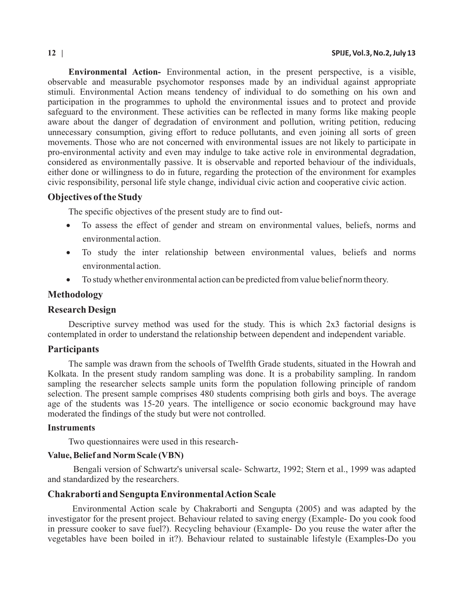**Environmental Action-** Environmental action, in the present perspective, is a visible, observable and measurable psychomotor responses made by an individual against appropriate stimuli. Environmental Action means tendency of individual to do something on his own and participation in the programmes to uphold the environmental issues and to protect and provide safeguard to the environment. These activities can be reflected in many forms like making people aware about the danger of degradation of environment and pollution, writing petition, reducing unnecessary consumption, giving effort to reduce pollutants, and even joining all sorts of green movements. Those who are not concerned with environmental issues are not likely to participate in pro-environmental activity and even may indulge to take active role in environmental degradation, considered as environmentally passive. It is observable and reported behaviour of the individuals, either done or willingness to do in future, regarding the protection of the environment for examples civic responsibility, personal life style change, individual civic action and cooperative civic action.

# **Objectives of the Study**

The specific objectives of the present study are to find out-

To assess the effect of gender and stream on environmental values, beliefs, norms and environmental action.

To study the inter relationship between environmental values, beliefs and norms environmental action.

To study whether environmental action can be predicted from value belief norm theory.

# **Methodology**

### **Research Design**

Descriptive survey method was used for the study. This is which 2x3 factorial designs is contemplated in order to understand the relationship between dependent and independent variable.

# **Participants**

The sample was drawn from the schools of Twelfth Grade students, situated in the Howrah and Kolkata. In the present study random sampling was done. It is a probability sampling. In random sampling the researcher selects sample units form the population following principle of random selection. The present sample comprises 480 students comprising both girls and boys. The average age of the students was 15-20 years. The intelligence or socio economic background may have moderated the findings of the study but were not controlled.

#### **Instruments**

Two questionnaires were used in this research-

### **Value, Belief and Norm Scale (VBN)**

Bengali version of Schwartz's universal scale- Schwartz, 1992; Stern et al., 1999 was adapted and standardized by the researchers.

### **Chakraborti and Sengupta Environmental Action Scale**

Environmental Action scale by Chakraborti and Sengupta (2005) and was adapted by the investigator for the present project. Behaviour related to saving energy (Example- Do you cook food in pressure cooker to save fuel?). Recycling behaviour (Example- Do you reuse the water after the vegetables have been boiled in it?). Behaviour related to sustainable lifestyle (Examples-Do you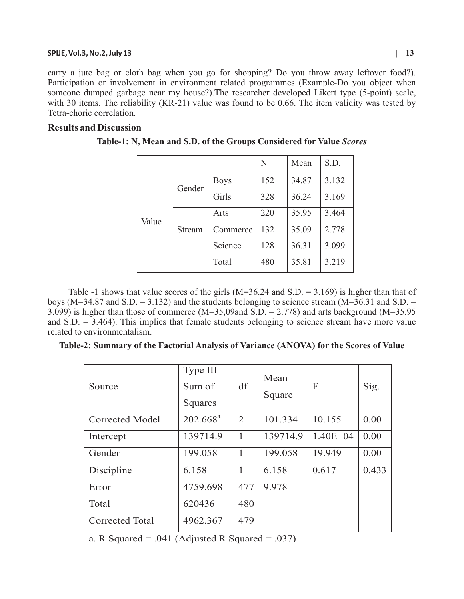carry a jute bag or cloth bag when you go for shopping? Do you throw away leftover food?). Participation or involvement in environment related programmes (Example-Do you object when someone dumped garbage near my house?).The researcher developed Likert type (5-point) scale, with 30 items. The reliability (KR-21) value was found to be 0.66. The item validity was tested by Tetra-choric correlation.

# **Results and Discussion**

|       |        |             | N   | Mean  | S.D.  |
|-------|--------|-------------|-----|-------|-------|
| Value | Gender | <b>Boys</b> | 152 | 34.87 | 3.132 |
|       |        | Girls       | 328 | 36.24 | 3.169 |
|       | Stream | Arts        | 220 | 35.95 | 3.464 |
|       |        | Commerce    | 132 | 35.09 | 2.778 |
|       |        | Science     | 128 | 36.31 | 3.099 |
|       |        | Total       | 480 | 35.81 | 3.219 |

**Table-1: N, Mean and S.D. of the Groups Considered for Value** *Scores*

Table -1 shows that value scores of the girls (M=36.24 and S.D. = 3.169) is higher than that of boys ( $M=34.87$  and S.D. = 3.132) and the students belonging to science stream ( $M=36.31$  and S.D. = 3.099) is higher than those of commerce (M=35,09and S.D. = 2.778) and arts background (M=35.95 and  $S.D. = 3.464$ ). This implies that female students belonging to science stream have more value related to environmentalism.

| Table-2: Summary of the Factorial Analysis of Variance (ANOVA) for the Scores of Value |  |  |  |  |  |
|----------------------------------------------------------------------------------------|--|--|--|--|--|
|----------------------------------------------------------------------------------------|--|--|--|--|--|

| Source                 | Type III<br>Sum of<br>Squares | df           | Mean<br>Square | F            | Sig.  |
|------------------------|-------------------------------|--------------|----------------|--------------|-------|
| Corrected Model        | $202.668^a$                   | 2            | 101.334        | 10.155       | 0.00  |
| Intercept              | 139714.9                      | 1            | 139714.9       | $1.40E + 04$ | 0.00  |
| Gender                 | 199.058                       | $\mathbf{1}$ | 199.058        | 19.949       | 0.00  |
| Discipline             | 6.158                         | 1            | 6.158          | 0.617        | 0.433 |
| Error                  | 4759.698                      | 477          | 9.978          |              |       |
| Total                  | 620436                        | 480          |                |              |       |
| <b>Corrected Total</b> | 4962.367                      | 479          |                |              |       |

a. R Squared =  $.041$  (Adjusted R Squared =  $.037$ )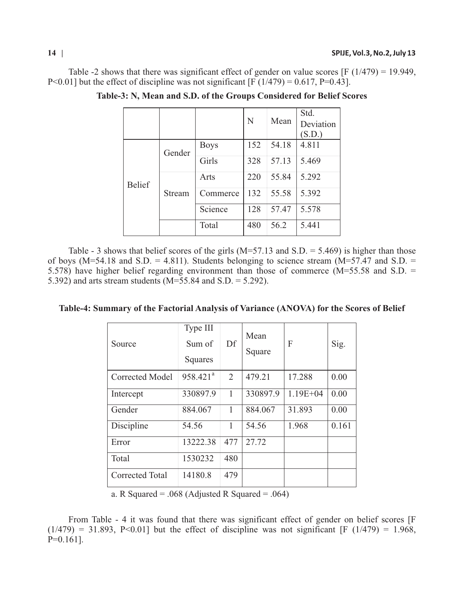Table -2 shows that there was significant effect of gender on value scores  $[F (1/479) = 19.949]$ , P<0.01] but the effect of discipline was not significant [F  $(1/479) = 0.617$ , P=0.43].

|               |        |             |     |       | Std.      |
|---------------|--------|-------------|-----|-------|-----------|
|               |        |             | N   | Mean  | Deviation |
|               |        |             |     |       | (S.D.)    |
| <b>Belief</b> | Gender | <b>Boys</b> | 152 | 54.18 | 4.811     |
|               |        | Girls       | 328 | 57.13 | 5.469     |
|               | Stream | Arts        | 220 | 55.84 | 5.292     |
|               |        | Commerce    | 132 | 55.58 | 5.392     |
|               |        | Science     | 128 | 57.47 | 5.578     |
|               |        | Total       | 480 | 56.2  | 5.441     |

**Table-3: N, Mean and S.D. of the Groups Considered for Belief Scores**

Table - 3 shows that belief scores of the girls  $(M=57.13$  and S.D. = 5.469) is higher than those of boys (M=54.18 and S.D. = 4.811). Students belonging to science stream (M=57.47 and S.D. = 5.578) have higher belief regarding environment than those of commerce (M=55.58 and S.D. = 5.392) and arts stream students (M=55.84 and S.D. = 5.292).

| Table-4: Summary of the Factorial Analysis of Variance (ANOVA) for the Scores of Belief |
|-----------------------------------------------------------------------------------------|
|-----------------------------------------------------------------------------------------|

| Source                 | Type III<br>Sum of<br>Squares | Df             | Mean<br>Square | F            | Sig.  |
|------------------------|-------------------------------|----------------|----------------|--------------|-------|
| <b>Corrected Model</b> | 958.421 <sup>a</sup>          | $\overline{2}$ | 479.21         | 17.288       | 0.00  |
| Intercept              | 330897.9                      | 1              | 330897.9       | $1.19E + 04$ | 0.00  |
| Gender                 | 884.067                       | 1              | 884.067        | 31.893       | 0.00  |
| Discipline             | 54.56                         | 1              | 54.56          | 1.968        | 0.161 |
| Error                  | 13222.38                      | 477            | 27.72          |              |       |
| Total                  | 1530232                       | 480            |                |              |       |
| <b>Corrected Total</b> | 14180.8                       | 479            |                |              |       |

a. R Squared = .068 (Adjusted R Squared = .064)

From Table - 4 it was found that there was significant effect of gender on belief scores [F  $(1/479) = 31.893$ , P<0.01] but the effect of discipline was not significant [F (1/479) = 1.968,  $P=0.161$ ].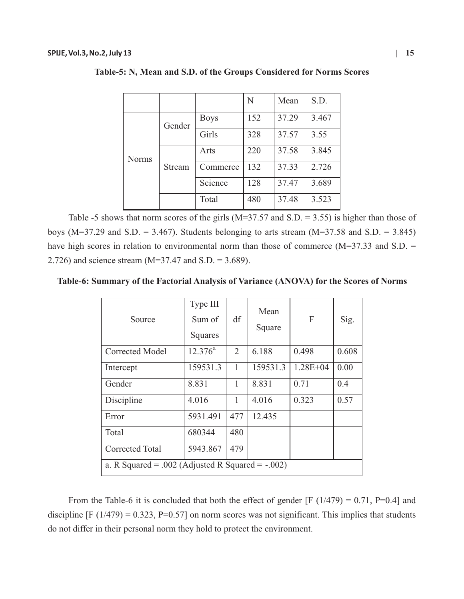|              |        |             | N   | Mean  | S.D.  |
|--------------|--------|-------------|-----|-------|-------|
| <b>Norms</b> | Gender | <b>Boys</b> | 152 | 37.29 | 3.467 |
|              |        | Girls       | 328 | 37.57 | 3.55  |
|              | Stream | Arts        | 220 | 37.58 | 3.845 |
|              |        | Commerce    | 132 | 37.33 | 2.726 |
|              |        | Science     | 128 | 37.47 | 3.689 |
|              |        | Total       | 480 | 37.48 | 3.523 |

**Table-5: N, Mean and S.D. of the Groups Considered for Norms Scores**

Table -5 shows that norm scores of the girls  $(M=37.57$  and S.D. = 3.55) is higher than those of boys ( $M=37.29$  and S.D. = 3.467). Students belonging to arts stream ( $M=37.58$  and S.D. = 3.845) have high scores in relation to environmental norm than those of commerce ( $M=37.33$  and  $S.D.$ 2.726) and science stream (M=37.47 and S.D. = 3.689).

**Table-6: Summary of the Factorial Analysis of Variance (ANOVA) for the Scores of Norms**

| Source                                                | Type III<br>Sum of<br>Squares | df  | Mean<br>Square | F            | Sig.  |  |  |  |
|-------------------------------------------------------|-------------------------------|-----|----------------|--------------|-------|--|--|--|
| <b>Corrected Model</b>                                | $12.376^a$                    | 2   | 6.188          | 0.498        | 0.608 |  |  |  |
| Intercept                                             | 159531.3                      | 1   | 159531.3       | $1.28E + 04$ | 0.00  |  |  |  |
| Gender                                                | 8.831                         | 1   | 8.831          | 0.71         | 0.4   |  |  |  |
| Discipline                                            | 4.016                         | 1   | 4.016          | 0.323        | 0.57  |  |  |  |
| Error                                                 | 5931.491                      | 477 | 12.435         |              |       |  |  |  |
| Total                                                 | 680344                        | 480 |                |              |       |  |  |  |
| <b>Corrected Total</b>                                | 5943.867                      | 479 |                |              |       |  |  |  |
| a. R Squared = $.002$ (Adjusted R Squared = $-.002$ ) |                               |     |                |              |       |  |  |  |

From the Table-6 it is concluded that both the effect of gender [F (1/479) = 0.71, P=0.4] and discipline  $[F (1/479) = 0.323, P=0.57]$  on norm scores was not significant. This implies that students do not differ in their personal norm they hold to protect the environment.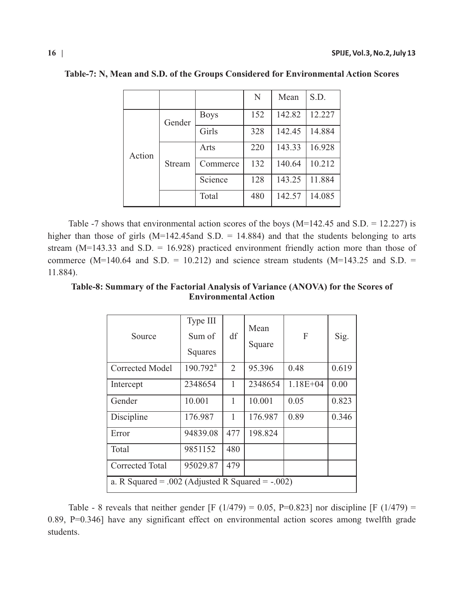|        |        |             | N   | Mean   | S.D.   |
|--------|--------|-------------|-----|--------|--------|
| Action | Gender | <b>Boys</b> | 152 | 142.82 | 12.227 |
|        |        | Girls       | 328 | 142.45 | 14.884 |
|        | Stream | Arts        | 220 | 143.33 | 16.928 |
|        |        | Commerce    | 132 | 140.64 | 10.212 |
|        |        | Science     | 128 | 143.25 | 11.884 |
|        |        | Total       | 480 | 142.57 | 14.085 |

**Table-7: N, Mean and S.D. of the Groups Considered for Environmental Action Scores**

Table -7 shows that environmental action scores of the boys ( $M=142.45$  and  $S.D. = 12.227$ ) is higher than those of girls  $(M=142.45$  and S.D. = 14.884) and that the students belonging to arts stream  $(M=143.33$  and S.D. = 16.928) practiced environment friendly action more than those of commerce (M=140.64 and S.D. = 10.212) and science stream students (M=143.25 and S.D. = 11.884).

**Table-8: Summary of the Factorial Analysis of Variance (ANOVA) for the Scores of Environmental Action**

| Source                                                | Type III<br>Sum of<br>Squares | df             | Mean<br>Square | F            | Sig.  |  |
|-------------------------------------------------------|-------------------------------|----------------|----------------|--------------|-------|--|
| <b>Corrected Model</b>                                | $190.792^{\text{a}}$          | $\overline{2}$ | 95.396         | 0.48         | 0.619 |  |
| Intercept                                             | 2348654                       | 1              | 2348654        | $1.18E + 04$ | 0.00  |  |
| Gender                                                | 10.001                        | 1              | 10.001         | 0.05         | 0.823 |  |
| Discipline                                            | 176.987                       | 1              | 176.987        | 0.89         | 0.346 |  |
| Error                                                 | 94839.08                      | 477            | 198.824        |              |       |  |
| Total                                                 | 9851152                       | 480            |                |              |       |  |
| <b>Corrected Total</b>                                | 95029.87                      | 479            |                |              |       |  |
| a. R Squared = $.002$ (Adjusted R Squared = $-.002$ ) |                               |                |                |              |       |  |

Table - 8 reveals that neither gender [F (1/479) = 0.05, P=0.823] nor discipline [F (1/479) = 0.89, P=0.346] have any significant effect on environmental action scores among twelfth grade students.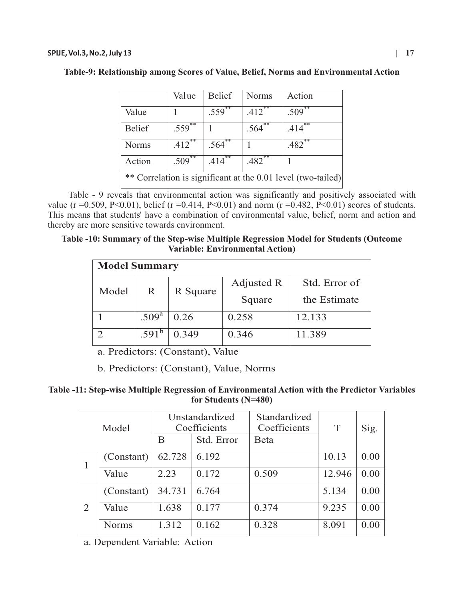|                                                              | Value                | <b>Belief</b>     | <b>Norms</b>        | Action     |  |
|--------------------------------------------------------------|----------------------|-------------------|---------------------|------------|--|
| Value                                                        |                      | .559              | .412                | **<br>.509 |  |
| <b>Belief</b>                                                | $.559$ <sup>**</sup> |                   | .564                | **<br>.414 |  |
| <b>Norms</b>                                                 | .412                 | .564 <sup>°</sup> |                     | .482       |  |
| Action                                                       | $.509$ <sup>**</sup> | .414              | $.482$ <sup>2</sup> |            |  |
| ** Correlation is significant at the 0.01 level (two-tailed) |                      |                   |                     |            |  |

Table - 9 reveals that environmental action was significantly and positively associated with value (r = 0.509, P<0.01), belief (r = 0.414, P<0.01) and norm (r = 0.482, P<0.01) scores of students. This means that students' have a combination of environmental value, belief, norm and action and thereby are more sensitive towards environment.

# **Table -10: Summary of the Step-wise Multiple Regression Model for Students (Outcome Variable: Environmental Action)**

| <b>Model Summary</b> |                   |          |            |               |  |  |
|----------------------|-------------------|----------|------------|---------------|--|--|
| Model                | R                 | R Square | Adjusted R | Std. Error of |  |  |
|                      |                   |          | Square     | the Estimate  |  |  |
|                      | .509 <sup>a</sup> | 0.26     | 0.258      | 12.133        |  |  |
|                      | $.591^{\circ}$    | 0.349    | 0.346      | 11.389        |  |  |

a. Predictors: (Constant), Value

b. Predictors: (Constant), Value, Norms

**Table -11: Step-wise Multiple Regression of Environmental Action with the Predictor Variables for Students (N=480)**

| Model |              | Unstandardized<br>Coefficients<br>Std. Error<br>B |       | Standardized<br>Coefficients<br><b>B</b> eta | T      | Sig. |
|-------|--------------|---------------------------------------------------|-------|----------------------------------------------|--------|------|
|       | (Constant)   | 62.728                                            | 6.192 |                                              | 10.13  | 0.00 |
|       | Value        | 2.23                                              | 0.172 | 0.509                                        | 12.946 | 0.00 |
| 2     | (Constant)   | 34.731                                            | 6.764 |                                              | 5.134  | 0.00 |
|       | Value        | 1.638                                             | 0.177 | 0.374                                        | 9.235  | 0.00 |
|       | <b>Norms</b> | 1.312                                             | 0.162 | 0.328                                        | 8.091  | 0.00 |

a. Dependent Variable: Action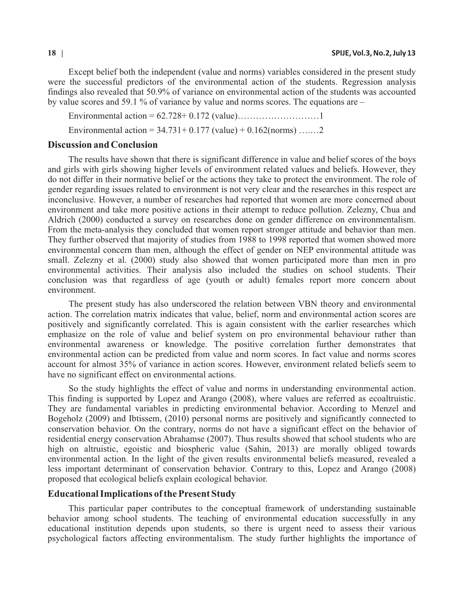Except belief both the independent (value and norms) variables considered in the present study were the successful predictors of the environmental action of the students. Regression analysis findings also revealed that 50.9% of variance on environmental action of the students was accounted by value scores and 59.1 % of variance by value and norms scores. The equations are –

Environmental action = 62.728+ 0.172 (value)………………………1 Environmental action =  $34.731+0.177$  (value)  $+0.162$ (norms) …....2

### **Discussion and Conclusion**

The results have shown that there is significant difference in value and belief scores of the boys and girls with girls showing higher levels of environment related values and beliefs. However, they do not differ in their normative belief or the actions they take to protect the environment. The role of gender regarding issues related to environment is not very clear and the researches in this respect are inconclusive. However, a number of researches had reported that women are more concerned about environment and take more positive actions in their attempt to reduce pollution. Zelezny, Chua and Aldrich (2000) conducted a survey on researches done on gender difference on environmentalism. From the meta-analysis they concluded that women report stronger attitude and behavior than men. They further observed that majority of studies from 1988 to 1998 reported that women showed more environmental concern than men, although the effect of gender on NEP environmental attitude was small. Zelezny et al. (2000) study also showed that women participated more than men in pro environmental activities. Their analysis also included the studies on school students. Their conclusion was that regardless of age (youth or adult) females report more concern about environment.

The present study has also underscored the relation between VBN theory and environmental action. The correlation matrix indicates that value, belief, norm and environmental action scores are positively and significantly correlated. This is again consistent with the earlier researches which emphasize on the role of value and belief system on pro environmental behaviour rather than environmental awareness or knowledge. The positive correlation further demonstrates that environmental action can be predicted from value and norm scores. In fact value and norms scores account for almost 35% of variance in action scores. However, environment related beliefs seem to have no significant effect on environmental actions.

So the study highlights the effect of value and norms in understanding environmental action. This finding is supported by Lopez and Arango (2008), where values are referred as ecoaltruistic. They are fundamental variables in predicting environmental behavior. According to Menzel and Bogeholz (2009) and Ibtissem, (2010) personal norms are positively and significantly connected to conservation behavior. On the contrary, norms do not have a significant effect on the behavior of residential energy conservation Abrahamse (2007). Thus results showed that school students who are high on altruistic, egoistic and biospheric value (Sahin, 2013) are morally obliged towards environmental action. In the light of the given results environmental beliefs measured, revealed a less important determinant of conservation behavior. Contrary to this, Lopez and Arango (2008) proposed that ecological beliefs explain ecological behavior.

### **Educational Implications of the Present Study**

This particular paper contributes to the conceptual framework of understanding sustainable behavior among school students. The teaching of environmental education successfully in any educational institution depends upon students, so there is urgent need to assess their various psychological factors affecting environmentalism. The study further highlights the importance of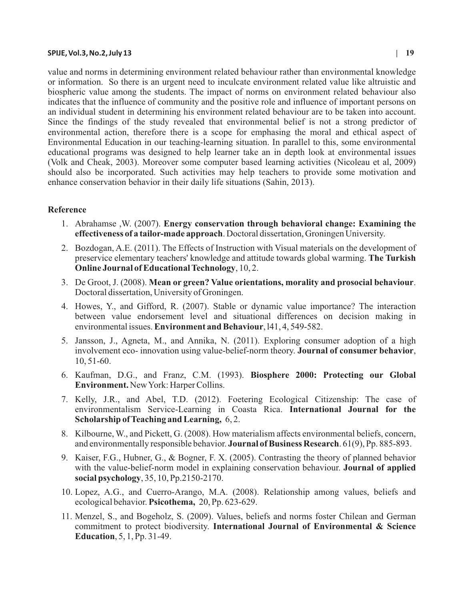value and norms in determining environment related behaviour rather than environmental knowledge or information. So there is an urgent need to inculcate environment related value like altruistic and biospheric value among the students. The impact of norms on environment related behaviour also indicates that the influence of community and the positive role and influence of important persons on an individual student in determining his environment related behaviour are to be taken into account. Since the findings of the study revealed that environmental belief is not a strong predictor of environmental action, therefore there is a scope for emphasing the moral and ethical aspect of Environmental Education in our teaching-learning situation. In parallel to this, some environmental educational programs was designed to help learner take an in depth look at environmental issues (Volk and Cheak, 2003). Moreover some computer based learning activities (Nicoleau et al, 2009) should also be incorporated. Such activities may help teachers to provide some motivation and

# **Reference**

1. Abrahamse ,W. (2007). **Energy conservation through behavioral change: Examining the effectiveness of a tailor-made approach**. Doctoral dissertation, Groningen University.

enhance conservation behavior in their daily life situations (Sahin, 2013).

- 2. Bozdogan, A.E. (2011). The Effects of Instruction with Visual materials on the development of preservice elementary teachers' knowledge and attitude towards global warming. **The Turkish Online Journal of Educational Technology**, 10, 2.
- 3. De Groot, J. (2008). **Mean or green? Value orientations, morality and prosocial behaviour**. Doctoral dissertation, University of Groningen.
- 4. Howes, Y., and Gifford, R. (2007). Stable or dynamic value importance? The interaction between value endorsement level and situational differences on decision making in environmental issues. **Environment and Behaviour**, l41, 4, 549-582.
- 5. Jansson, J., Agneta, M., and Annika, N. (2011). Exploring consumer adoption of a high involvement eco- innovation using value-belief-norm theory. **Journal of consumer behavior**, 10, 51-60.
- 6. Kaufman, D.G., and Franz, C.M. (1993). **Biosphere 2000: Protecting our Global Environment.** New York: Harper Collins.
- 7. Kelly, J.R., and Abel, T.D. (2012). Foetering Ecological Citizenship: The case of environmentalism Service-Learning in Coasta Rica. **International Journal for the Scholarship of Teaching and Learning,** 6, 2.
- 8. Kilbourne, W., and Pickett, G. (2008). How materialism affects environmental beliefs, concern, and environmentally responsible behavior. **Journal of Business Research**. 61(9), Pp. 885-893.
- 9. Kaiser, F.G., Hubner, G., & Bogner, F. X. (2005). Contrasting the theory of planned behavior with the value-belief-norm model in explaining conservation behaviour. **Journal of applied social psychology**, 35, 10, Pp.2150-2170.
- 10. Lopez, A.G., and Cuerro-Arango, M.A. (2008). Relationship among values, beliefs and ecological behavior. **Psicothema,** 20, Pp. 623-629.
- 11. Menzel, S., and Bogeholz, S. (2009). Values, beliefs and norms foster Chilean and German commitment to protect biodiversity. **International Journal of Environmental & Science Education**, 5, 1, Pp. 31-49.